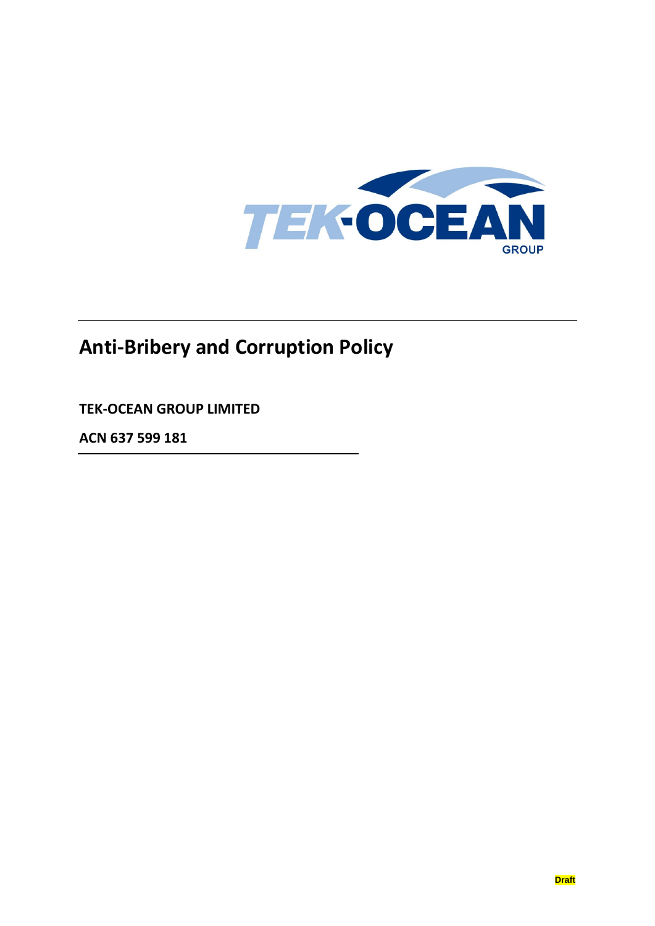

# **Anti-Bribery and Corruption Policy**

**TEK-OCEAN GROUP LIMITED**

**ACN 637 599 181**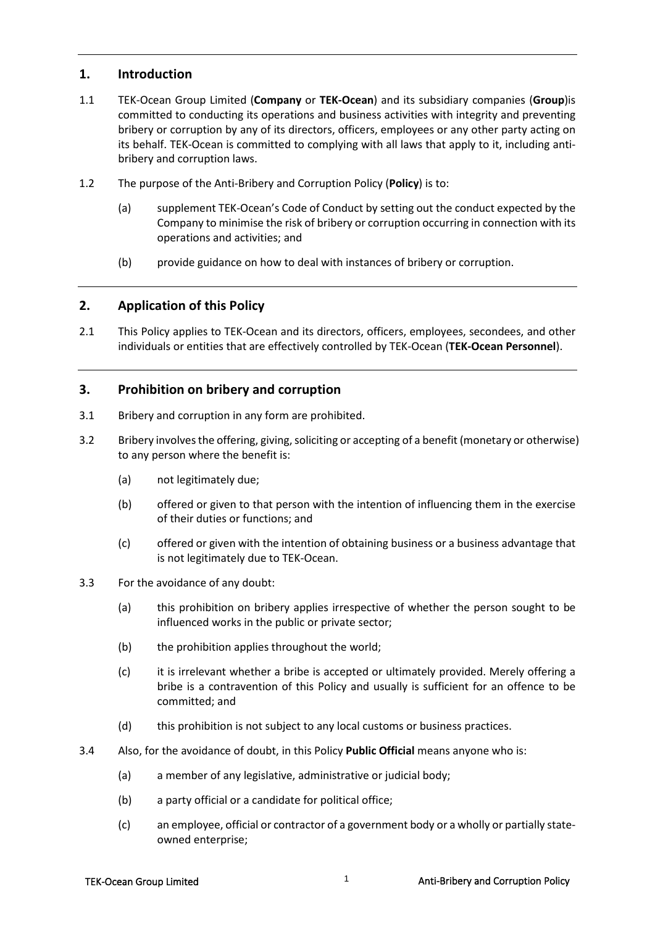## **1. Introduction**

- 1.1 TEK-Ocean Group Limited (**Company** or **TEK-Ocean**) and its subsidiary companies (**Group**)is committed to conducting its operations and business activities with integrity and preventing bribery or corruption by any of its directors, officers, employees or any other party acting on its behalf. TEK-Ocean is committed to complying with all laws that apply to it, including antibribery and corruption laws.
- 1.2 The purpose of the Anti-Bribery and Corruption Policy (**Policy**) is to:
	- (a) supplement TEK-Ocean's Code of Conduct by setting out the conduct expected by the Company to minimise the risk of bribery or corruption occurring in connection with its operations and activities; and
	- (b) provide guidance on how to deal with instances of bribery or corruption.

#### **2. Application of this Policy**

2.1 This Policy applies to TEK-Ocean and its directors, officers, employees, secondees, and other individuals or entities that are effectively controlled by TEK-Ocean (**TEK-Ocean Personnel**).

#### **3. Prohibition on bribery and corruption**

- 3.1 Bribery and corruption in any form are prohibited.
- 3.2 Bribery involves the offering, giving, soliciting or accepting of a benefit (monetary or otherwise) to any person where the benefit is:
	- (a) not legitimately due;
	- (b) offered or given to that person with the intention of influencing them in the exercise of their duties or functions; and
	- (c) offered or given with the intention of obtaining business or a business advantage that is not legitimately due to TEK-Ocean.
- 3.3 For the avoidance of any doubt:
	- (a) this prohibition on bribery applies irrespective of whether the person sought to be influenced works in the public or private sector;
	- (b) the prohibition applies throughout the world;
	- (c) it is irrelevant whether a bribe is accepted or ultimately provided. Merely offering a bribe is a contravention of this Policy and usually is sufficient for an offence to be committed; and
	- (d) this prohibition is not subject to any local customs or business practices.
- 3.4 Also, for the avoidance of doubt, in this Policy **Public Official** means anyone who is:
	- (a) a member of any legislative, administrative or judicial body;
	- (b) a party official or a candidate for political office;
	- (c) an employee, official or contractor of a government body or a wholly or partially stateowned enterprise;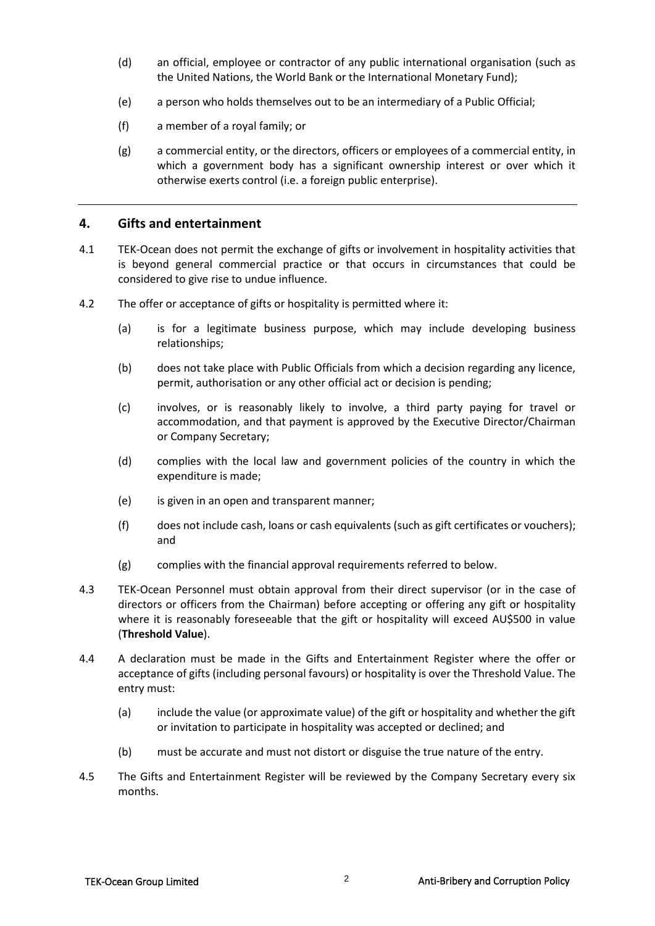- (d) an official, employee or contractor of any public international organisation (such as the United Nations, the World Bank or the International Monetary Fund);
- (e) a person who holds themselves out to be an intermediary of a Public Official;
- (f) a member of a royal family; or
- (g) a commercial entity, or the directors, officers or employees of a commercial entity, in which a government body has a significant ownership interest or over which it otherwise exerts control (i.e. a foreign public enterprise).

# **4. Gifts and entertainment**

- 4.1 TEK-Ocean does not permit the exchange of gifts or involvement in hospitality activities that is beyond general commercial practice or that occurs in circumstances that could be considered to give rise to undue influence.
- 4.2 The offer or acceptance of gifts or hospitality is permitted where it:
	- (a) is for a legitimate business purpose, which may include developing business relationships;
	- (b) does not take place with Public Officials from which a decision regarding any licence, permit, authorisation or any other official act or decision is pending;
	- (c) involves, or is reasonably likely to involve, a third party paying for travel or accommodation, and that payment is approved by the Executive Director/Chairman or Company Secretary;
	- (d) complies with the local law and government policies of the country in which the expenditure is made;
	- (e) is given in an open and transparent manner;
	- (f) does not include cash, loans or cash equivalents (such as gift certificates or vouchers); and
	- (g) complies with the financial approval requirements referred to below.
- 4.3 TEK-Ocean Personnel must obtain approval from their direct supervisor (or in the case of directors or officers from the Chairman) before accepting or offering any gift or hospitality where it is reasonably foreseeable that the gift or hospitality will exceed AU\$500 in value (**Threshold Value**).
- 4.4 A declaration must be made in the Gifts and Entertainment Register where the offer or acceptance of gifts (including personal favours) or hospitality is over the Threshold Value. The entry must:
	- (a) include the value (or approximate value) of the gift or hospitality and whether the gift or invitation to participate in hospitality was accepted or declined; and
	- (b) must be accurate and must not distort or disguise the true nature of the entry.
- 4.5 The Gifts and Entertainment Register will be reviewed by the Company Secretary every six months.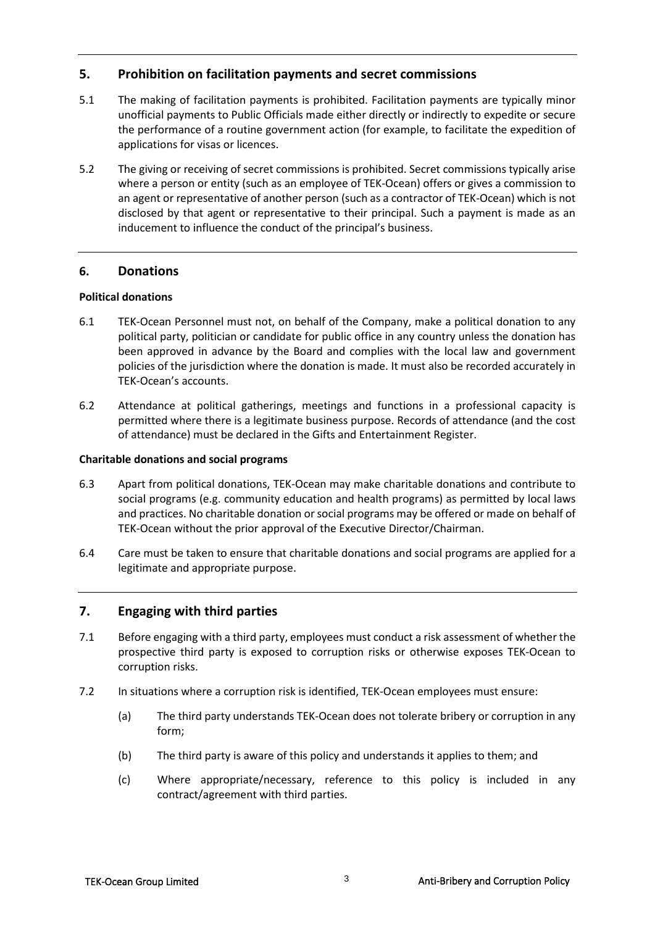# **5. Prohibition on facilitation payments and secret commissions**

- 5.1 The making of facilitation payments is prohibited. Facilitation payments are typically minor unofficial payments to Public Officials made either directly or indirectly to expedite or secure the performance of a routine government action (for example, to facilitate the expedition of applications for visas or licences.
- 5.2 The giving or receiving of secret commissions is prohibited. Secret commissions typically arise where a person or entity (such as an employee of TEK-Ocean) offers or gives a commission to an agent or representative of another person (such as a contractor of TEK-Ocean) which is not disclosed by that agent or representative to their principal. Such a payment is made as an inducement to influence the conduct of the principal's business.

#### **6. Donations**

#### **Political donations**

- 6.1 TEK-Ocean Personnel must not, on behalf of the Company, make a political donation to any political party, politician or candidate for public office in any country unless the donation has been approved in advance by the Board and complies with the local law and government policies of the jurisdiction where the donation is made. It must also be recorded accurately in TEK-Ocean's accounts.
- 6.2 Attendance at political gatherings, meetings and functions in a professional capacity is permitted where there is a legitimate business purpose. Records of attendance (and the cost of attendance) must be declared in the Gifts and Entertainment Register.

#### **Charitable donations and social programs**

- 6.3 Apart from political donations, TEK-Ocean may make charitable donations and contribute to social programs (e.g. community education and health programs) as permitted by local laws and practices. No charitable donation or social programs may be offered or made on behalf of TEK-Ocean without the prior approval of the Executive Director/Chairman.
- 6.4 Care must be taken to ensure that charitable donations and social programs are applied for a legitimate and appropriate purpose.

#### **7. Engaging with third parties**

- 7.1 Before engaging with a third party, employees must conduct a risk assessment of whether the prospective third party is exposed to corruption risks or otherwise exposes TEK-Ocean to corruption risks.
- 7.2 In situations where a corruption risk is identified, TEK-Ocean employees must ensure:
	- (a) The third party understands TEK-Ocean does not tolerate bribery or corruption in any form;
	- (b) The third party is aware of this policy and understands it applies to them; and
	- (c) Where appropriate/necessary, reference to this policy is included in any contract/agreement with third parties.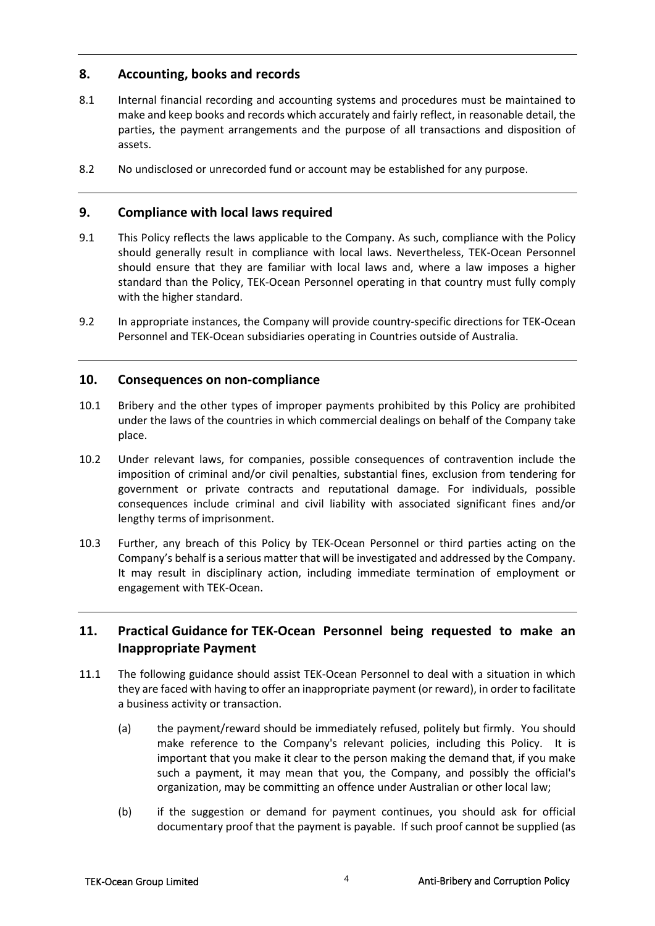# **8. Accounting, books and records**

- 8.1 Internal financial recording and accounting systems and procedures must be maintained to make and keep books and records which accurately and fairly reflect, in reasonable detail, the parties, the payment arrangements and the purpose of all transactions and disposition of assets.
- 8.2 No undisclosed or unrecorded fund or account may be established for any purpose.

## **9. Compliance with local laws required**

- 9.1 This Policy reflects the laws applicable to the Company. As such, compliance with the Policy should generally result in compliance with local laws. Nevertheless, TEK-Ocean Personnel should ensure that they are familiar with local laws and, where a law imposes a higher standard than the Policy, TEK-Ocean Personnel operating in that country must fully comply with the higher standard.
- 9.2 In appropriate instances, the Company will provide country-specific directions for TEK-Ocean Personnel and TEK-Ocean subsidiaries operating in Countries outside of Australia.

### **10. Consequences on non-compliance**

- 10.1 Bribery and the other types of improper payments prohibited by this Policy are prohibited under the laws of the countries in which commercial dealings on behalf of the Company take place.
- 10.2 Under relevant laws, for companies, possible consequences of contravention include the imposition of criminal and/or civil penalties, substantial fines, exclusion from tendering for government or private contracts and reputational damage. For individuals, possible consequences include criminal and civil liability with associated significant fines and/or lengthy terms of imprisonment.
- 10.3 Further, any breach of this Policy by TEK-Ocean Personnel or third parties acting on the Company's behalf is a serious matter that will be investigated and addressed by the Company. It may result in disciplinary action, including immediate termination of employment or engagement with TEK-Ocean.

# **11. Practical Guidance for TEK-Ocean Personnel being requested to make an Inappropriate Payment**

- 11.1 The following guidance should assist TEK-Ocean Personnel to deal with a situation in which they are faced with having to offer an inappropriate payment (or reward), in order to facilitate a business activity or transaction.
	- (a) the payment/reward should be immediately refused, politely but firmly. You should make reference to the Company's relevant policies, including this Policy. It is important that you make it clear to the person making the demand that, if you make such a payment, it may mean that you, the Company, and possibly the official's organization, may be committing an offence under Australian or other local law;
	- (b) if the suggestion or demand for payment continues, you should ask for official documentary proof that the payment is payable. If such proof cannot be supplied (as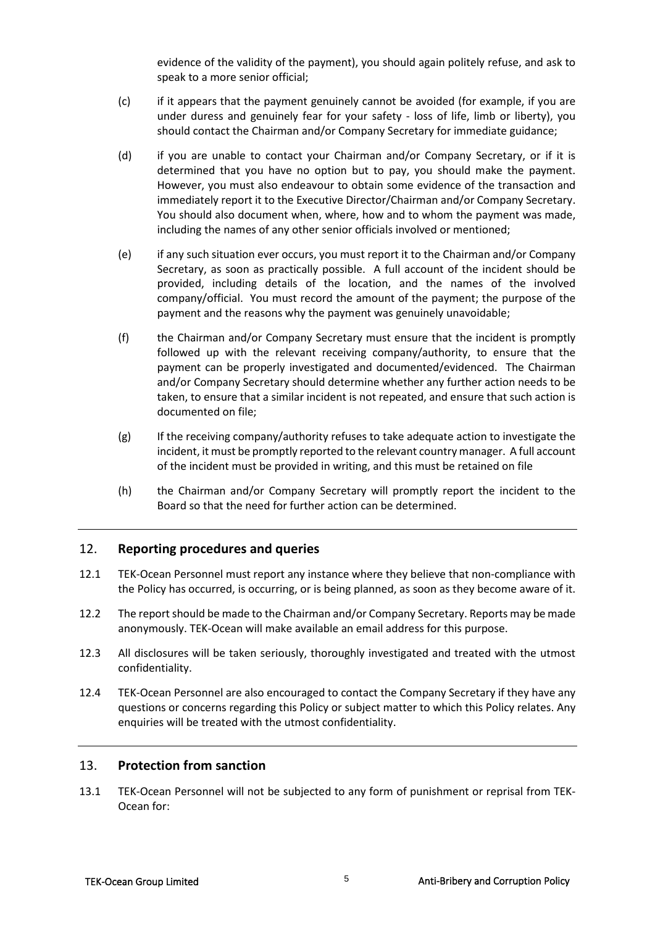evidence of the validity of the payment), you should again politely refuse, and ask to speak to a more senior official;

- (c) if it appears that the payment genuinely cannot be avoided (for example, if you are under duress and genuinely fear for your safety - loss of life, limb or liberty), you should contact the Chairman and/or Company Secretary for immediate guidance;
- (d) if you are unable to contact your Chairman and/or Company Secretary, or if it is determined that you have no option but to pay, you should make the payment. However, you must also endeavour to obtain some evidence of the transaction and immediately report it to the Executive Director/Chairman and/or Company Secretary. You should also document when, where, how and to whom the payment was made, including the names of any other senior officials involved or mentioned;
- (e) if any such situation ever occurs, you must report it to the Chairman and/or Company Secretary, as soon as practically possible. A full account of the incident should be provided, including details of the location, and the names of the involved company/official. You must record the amount of the payment; the purpose of the payment and the reasons why the payment was genuinely unavoidable;
- (f) the Chairman and/or Company Secretary must ensure that the incident is promptly followed up with the relevant receiving company/authority, to ensure that the payment can be properly investigated and documented/evidenced. The Chairman and/or Company Secretary should determine whether any further action needs to be taken, to ensure that a similar incident is not repeated, and ensure that such action is documented on file;
- (g) If the receiving company/authority refuses to take adequate action to investigate the incident, it must be promptly reported to the relevant country manager. A full account of the incident must be provided in writing, and this must be retained on file
- (h) the Chairman and/or Company Secretary will promptly report the incident to the Board so that the need for further action can be determined.

#### 12. **Reporting procedures and queries**

- 12.1 TEK-Ocean Personnel must report any instance where they believe that non-compliance with the Policy has occurred, is occurring, or is being planned, as soon as they become aware of it.
- 12.2 The report should be made to the Chairman and/or Company Secretary. Reports may be made anonymously. TEK-Ocean will make available an email address for this purpose.
- 12.3 All disclosures will be taken seriously, thoroughly investigated and treated with the utmost confidentiality.
- 12.4 TEK-Ocean Personnel are also encouraged to contact the Company Secretary if they have any questions or concerns regarding this Policy or subject matter to which this Policy relates. Any enquiries will be treated with the utmost confidentiality.

#### 13. **Protection from sanction**

13.1 TEK-Ocean Personnel will not be subjected to any form of punishment or reprisal from TEK-Ocean for: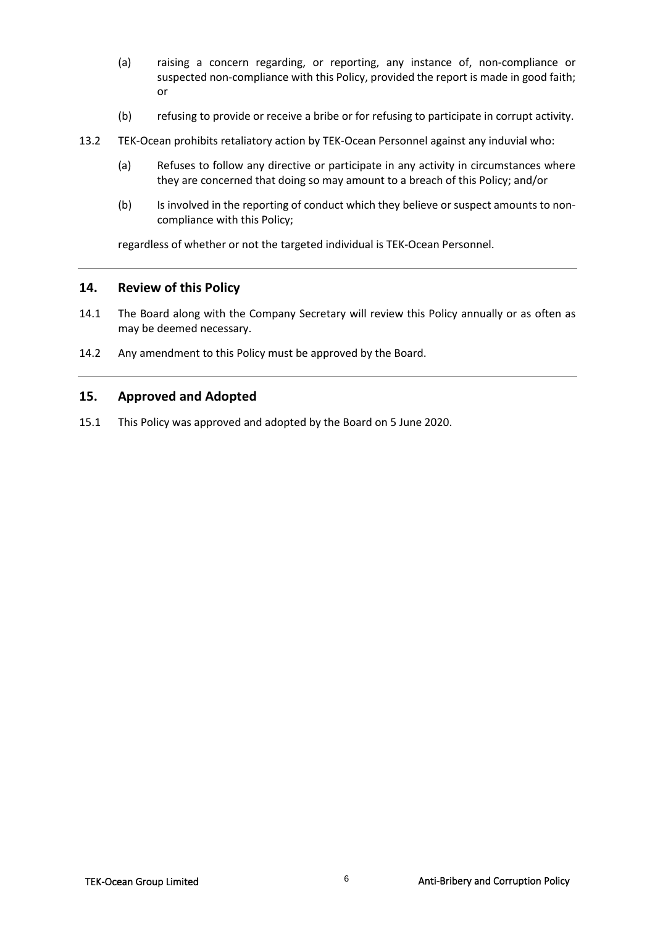- (a) raising a concern regarding, or reporting, any instance of, non-compliance or suspected non-compliance with this Policy, provided the report is made in good faith; or
- (b) refusing to provide or receive a bribe or for refusing to participate in corrupt activity.
- 13.2 TEK-Ocean prohibits retaliatory action by TEK-Ocean Personnel against any induvial who:
	- (a) Refuses to follow any directive or participate in any activity in circumstances where they are concerned that doing so may amount to a breach of this Policy; and/or
	- (b) Is involved in the reporting of conduct which they believe or suspect amounts to noncompliance with this Policy;

regardless of whether or not the targeted individual is TEK-Ocean Personnel.

#### **14. Review of this Policy**

- 14.1 The Board along with the Company Secretary will review this Policy annually or as often as may be deemed necessary.
- 14.2 Any amendment to this Policy must be approved by the Board.

#### **15. Approved and Adopted**

15.1 This Policy was approved and adopted by the Board on 5 June 2020.